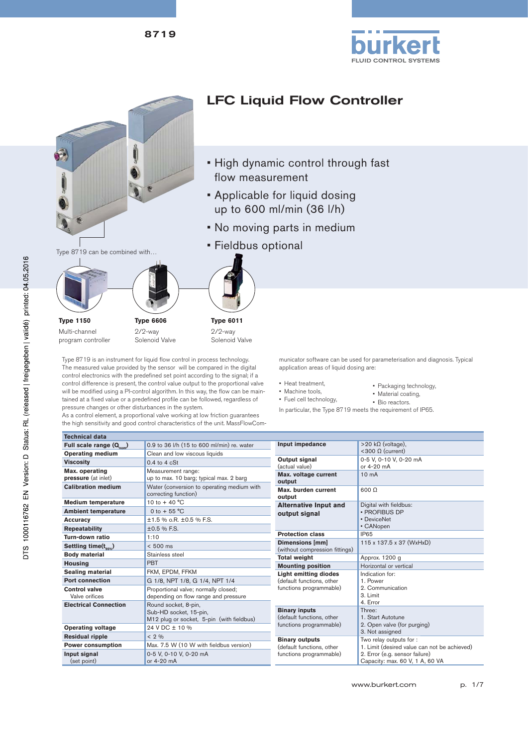



- Machine tools, • Fuel cell technology,
- 
- 
- Material coating, • Bio reactors.

In particular, the Type 8719 meets the requirement of IP65.

| Full scale range $(Q_{nom})$                                           | 0.9 to 36 I/h (15 to 600 ml/min) re. water                                                  | Input impedance                                          | $>$ 20 kΩ (voltage),                                              |
|------------------------------------------------------------------------|---------------------------------------------------------------------------------------------|----------------------------------------------------------|-------------------------------------------------------------------|
| <b>Operating medium</b>                                                | Clean and low viscous liquids                                                               |                                                          | <300 $Ω$ (current)                                                |
| <b>Viscosity</b>                                                       | $0.4$ to $4 \text{ cSt}$                                                                    | Output signal                                            | 0-5 V. 0-10 V. 0-20 mA<br>or 4-20 mA                              |
| Max. operating<br>pressure (at inlet)                                  | Measurement range:<br>up to max. 10 barg; typical max. 2 barg                               | (actual value)<br>Max. voltage current<br>output         | 10 <sub>m</sub> A                                                 |
| <b>Calibration medium</b>                                              | Water (conversion to operating medium with<br>correcting function)                          | Max. burden current<br>output                            | $600 \Omega$                                                      |
| <b>Medium temperature</b>                                              | 10 to $+$ 40 °C                                                                             | <b>Alternative Input and</b>                             | Digital with fieldbus:                                            |
| <b>Ambient temperature</b>                                             | 0 to + 55 $^{\circ}$ C                                                                      | output signal                                            | · PROFIBUS DP                                                     |
| <b>Accuracy</b>                                                        | $±1.5$ % $0. R. ±0.5$ % F.S.                                                                |                                                          | · DeviceNet                                                       |
| <b>Repeatability</b>                                                   | ±0.5 % F.S.                                                                                 |                                                          | • CANopen                                                         |
| Turn-down ratio                                                        | 1:10                                                                                        | <b>Protection class</b>                                  | IP65                                                              |
| Settling time $(t_{\text{q},\text{q},\text{q}})$                       | $< 500$ ms                                                                                  | <b>Dimensions [mm]</b><br>(without compression fittings) | 115 x 137.5 x 37 (WxHxD)                                          |
| <b>Body material</b>                                                   | Stainless steel                                                                             | <b>Total weight</b>                                      | Approx. 1200 g                                                    |
| <b>Housing</b>                                                         | <b>PBT</b>                                                                                  | <b>Mounting position</b>                                 | Horizontal or vertical                                            |
| <b>Sealing material</b>                                                | FKM. EPDM. FFKM                                                                             | <b>Light emitting diodes</b>                             | Indication for:                                                   |
| <b>Port connection</b>                                                 | G 1/8, NPT 1/8, G 1/4, NPT 1/4                                                              | (default functions, other                                | 1. Power                                                          |
| <b>Control valve</b><br>Valve orifices<br><b>Electrical Connection</b> | Proportional valve; normally closed;<br>depending on flow range and pressure                | functions programmable)                                  | 2. Communication<br>3. Limit<br>4. Error                          |
|                                                                        | Round socket, 8-pin,<br>Sub-HD socket, 15-pin,<br>M12 plug or socket, 5-pin (with fieldbus) | <b>Binary inputs</b><br>(default functions, other        | Three:<br>1. Start Autotune                                       |
| <b>Operating voltage</b>                                               | 24 V DC ± 10 %                                                                              | functions programmable)                                  | 2. Open valve (for purging)<br>3. Not assigned                    |
| <b>Residual ripple</b>                                                 | $< 2 \%$                                                                                    | <b>Binary outputs</b>                                    | Two relay outputs for :                                           |
| <b>Power consumption</b>                                               | Max. 7.5 W (10 W with fieldbus version)                                                     | (default functions, other                                | 1. Limit (desired value can not be achieved)                      |
| Input signal<br>(set point)                                            | 0-5 V, 0-10 V, 0-20 mA<br>or 4-20 mA                                                        | functions programmable)                                  | 2. Error (e.g. sensor failure)<br>Capacity: max. 60 V, 1 A, 60 VA |

will be modified using a PI-control algorithm. In this way, the flow can be maintained at a fixed value or a predefined profile can be followed, regardless of pressure changes or other disturbances in the system.

As a control element, a proportional valve working at low friction guarantees the high sensitivity and good control characteristics of the unit. MassFlowCom-

**Technical data**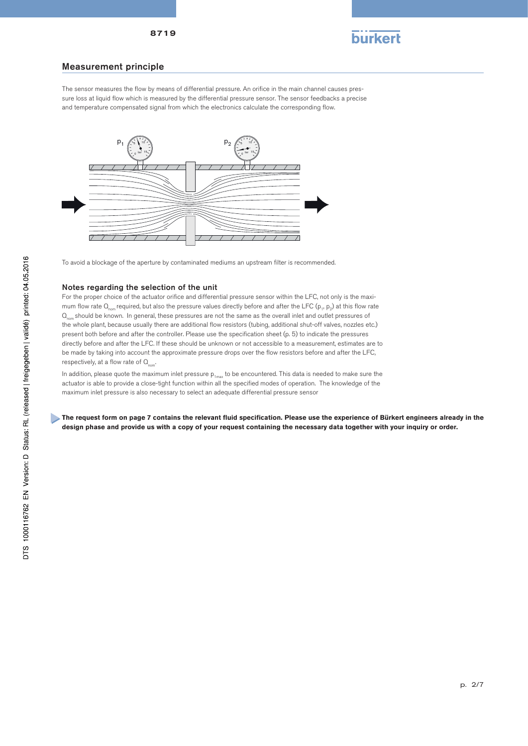

#### Measurement principle

The sensor measures the flow by means of differential pressure. An orifice in the main channel causes pressure loss at liquid flow which is measured by the differential pressure sensor. The sensor feedbacks a precise and temperature compensated signal from which the electronics calculate the corresponding flow.



To avoid a blockage of the aperture by contaminated mediums an upstream filter is recommended.

#### Notes regarding the selection of the unit

For the proper choice of the actuator orifice and differential pressure sensor within the LFC, not only is the maximum flow rate  $Q_{\text{max}}$  required, but also the pressure values directly before and after the LFC (p<sub>1</sub>, p<sub>2</sub>) at this flow rate  $Q_{\text{max}}$  should be known. In general, these pressures are not the same as the overall inlet and outlet pressures of the whole plant, because usually there are additional flow resistors (tubing, additional shut-off valves, nozzles etc.) present both before and after the controller. Please use the specification sheet (p. 5) to indicate the pressures directly before and after the LFC. If these should be unknown or not accessible to a measurement, estimates are to be made by taking into account the approximate pressure drops over the flow resistors before and after the LFC, respectively, at a flow rate of  $Q_{\text{nom}}$ .

In addition, please quote the maximum inlet pressure  $p_{1max}$  to be encountered. This data is needed to make sure the actuator is able to provide a close-tight function within all the specified modes of operation. The knowledge of the maximum inlet pressure is also necessary to select an adequate differential pressure sensor

The request form on page 7 contains the relevant fluid specification. Please use the experience of Bürkert engineers already in the **design phase and provide us with a copy of your request containing the necessary data together with your inquiry or order.**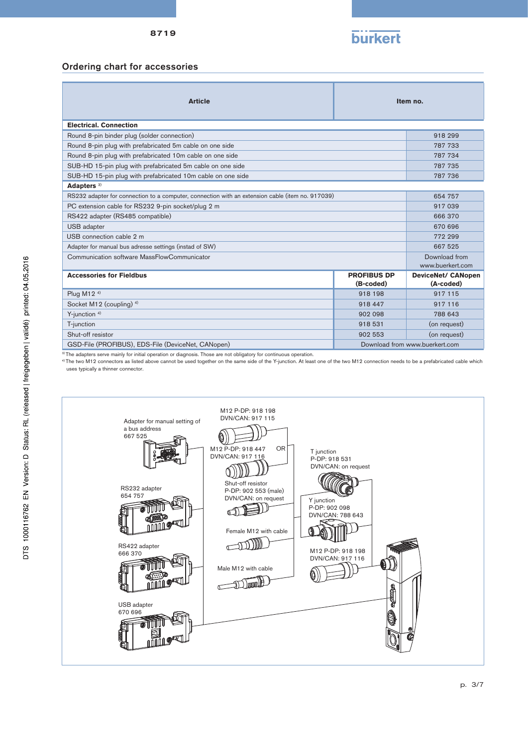

#### Ordering chart for accessories

| <b>Article</b>                                                                                   | Item no.           |                                |  |
|--------------------------------------------------------------------------------------------------|--------------------|--------------------------------|--|
| <b>Electrical, Connection</b>                                                                    |                    |                                |  |
| Round 8-pin binder plug (solder connection)                                                      |                    | 918 299                        |  |
| Round 8-pin plug with prefabricated 5m cable on one side                                         |                    | 787 733                        |  |
| Round 8-pin plug with prefabricated 10m cable on one side                                        |                    | 787 734                        |  |
| SUB-HD 15-pin plug with prefabricated 5m cable on one side                                       |                    | 787 735                        |  |
| SUB-HD 15-pin plug with prefabricated 10m cable on one side                                      |                    | 787 736                        |  |
| Adapters <sup>3)</sup>                                                                           |                    |                                |  |
| RS232 adapter for connection to a computer, connection with an extension cable (item no. 917039) |                    | 654 757                        |  |
| PC extension cable for RS232 9-pin socket/plug 2 m                                               |                    | 917 039                        |  |
| RS422 adapter (RS485 compatible)                                                                 |                    | 666 370                        |  |
| USB adapter                                                                                      |                    | 670 696                        |  |
| USB connection cable 2 m                                                                         |                    | 772 299                        |  |
| Adapter for manual bus adresse settings (instad of SW)                                           |                    | 667 525                        |  |
| Communication software MassFlowCommunicator                                                      |                    | Download from                  |  |
|                                                                                                  |                    | www.buerkert.com               |  |
| <b>Accessories for Fieldbus</b>                                                                  | <b>PROFIBUS DP</b> | <b>DeviceNet/ CANopen</b>      |  |
|                                                                                                  | (B-coded)          | (A-coded)                      |  |
| Plug M12 <sup>4)</sup>                                                                           | 918 198            | 917 115                        |  |
| Socket M12 (coupling) <sup>4)</sup>                                                              | 918 447            | 917 116                        |  |
| Y-junction <sup>4)</sup>                                                                         | 902 098            | 788 643                        |  |
| T-junction                                                                                       | 918 531            | (on request)                   |  |
| Shut-off resistor                                                                                | 902 553            | (on request)                   |  |
| GSD-File (PROFIBUS), EDS-File (DeviceNet, CANopen)                                               |                    | Download from www.buerkert.com |  |

3) The adapters serve mainly for initial operation or diagnosis. Those are not obligatory for continuous operation.

<sup>4)</sup> The two M12 connectors as listed above cannot be used together on the same side of the Y-junction. At least one of the two M12 connection needs to be a prefabricated cable which uses typically a thinner connector.

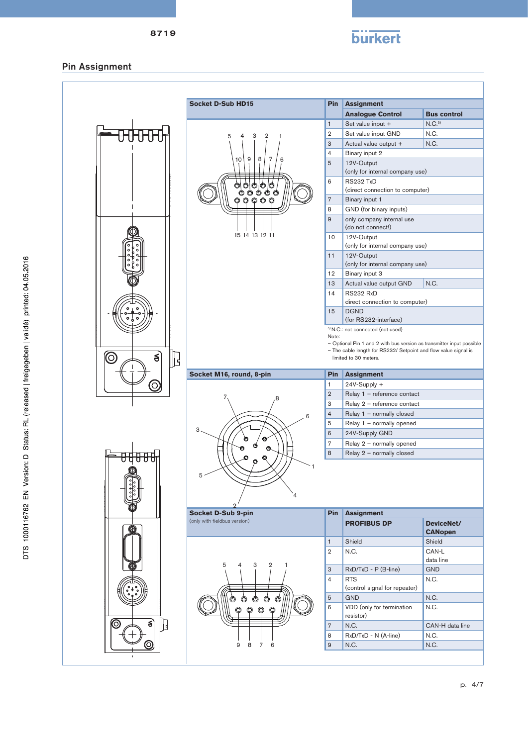

## Pin Assignment

÷

|                                    | <b>Socket D-Sub HD15</b>                           | <b>Pin</b>     | <b>Assignment</b>                                                                                                                        |                    |
|------------------------------------|----------------------------------------------------|----------------|------------------------------------------------------------------------------------------------------------------------------------------|--------------------|
|                                    |                                                    |                | <b>Analogue Control</b>                                                                                                                  | <b>Bus control</b> |
|                                    |                                                    | $\mathbf{1}$   | Set value input +                                                                                                                        | N.C. <sup>5</sup>  |
|                                    | 3<br>2<br>4<br>5                                   | $\mathbf{2}$   | Set value input GND                                                                                                                      | N.C.               |
|                                    |                                                    | 3              | Actual value output +                                                                                                                    | N.C.               |
|                                    |                                                    | $\overline{4}$ | Binary input 2                                                                                                                           |                    |
|                                    | 9<br>8<br>7<br>10<br>6                             | 5              | 12V-Output                                                                                                                               |                    |
|                                    |                                                    |                | (only for internal company use)                                                                                                          |                    |
|                                    |                                                    | 6              | RS232 TxD                                                                                                                                |                    |
|                                    |                                                    |                | (direct connection to computer)                                                                                                          |                    |
|                                    |                                                    | 7              | Binary input 1                                                                                                                           |                    |
|                                    |                                                    | 8              | GND (for binary inputs)                                                                                                                  |                    |
|                                    |                                                    | 9              | only company internal use                                                                                                                |                    |
|                                    |                                                    |                | (do not connect!)                                                                                                                        |                    |
|                                    | 15 14 13 12 11                                     | 10             | 12V-Output                                                                                                                               |                    |
|                                    |                                                    |                | (only for internal company use)                                                                                                          |                    |
|                                    |                                                    | 11             | 12V-Output<br>(only for internal company use)                                                                                            |                    |
|                                    |                                                    | 12             | Binary input 3                                                                                                                           |                    |
|                                    |                                                    | 13             | Actual value output GND                                                                                                                  | N.C.               |
|                                    |                                                    | 14             | RS232 RxD                                                                                                                                |                    |
|                                    |                                                    |                | direct connection to computer)                                                                                                           |                    |
|                                    |                                                    | 15             | <b>DGND</b>                                                                                                                              |                    |
|                                    |                                                    |                | (for RS232-interface)                                                                                                                    |                    |
|                                    |                                                    |                | <sup>5)</sup> N.C.: not connected (not used)                                                                                             |                    |
|                                    |                                                    | Note:          |                                                                                                                                          |                    |
|                                    |                                                    |                | - Optional Pin 1 and 2 with bus version as transmitter input possible<br>- The cable length for RS232/ Setpoint and flow value signal is |                    |
| $\mathbb{D}$<br>$\leq$<br><u>ල</u> |                                                    |                | limited to 30 meters.                                                                                                                    |                    |
|                                    |                                                    |                |                                                                                                                                          |                    |
|                                    |                                                    |                |                                                                                                                                          |                    |
|                                    | Socket M16, round, 8-pin                           | Pin            | <b>Assignment</b>                                                                                                                        |                    |
| $\left( 0\right)$                  |                                                    | $\mathbf{1}$   | 24V-Supply +                                                                                                                             |                    |
|                                    |                                                    | $\mathbf{2}$   | Relay 1 - reference contact                                                                                                              |                    |
|                                    |                                                    | 3              | Relay 2 - reference contact                                                                                                              |                    |
|                                    |                                                    | $\overline{4}$ | Relay 1 - normally closed                                                                                                                |                    |
|                                    | 3                                                  | 5              | Relay 1 - normally opened                                                                                                                |                    |
|                                    |                                                    | 6              | 24V-Supply GND                                                                                                                           |                    |
|                                    |                                                    | $\overline{7}$ | Relay 2 - normally opened                                                                                                                |                    |
|                                    |                                                    | 8              | Relay 2 - normally closed                                                                                                                |                    |
|                                    |                                                    |                |                                                                                                                                          |                    |
|                                    | 5                                                  |                |                                                                                                                                          |                    |
|                                    |                                                    |                |                                                                                                                                          |                    |
|                                    | 4                                                  |                |                                                                                                                                          |                    |
|                                    |                                                    | <b>Pin</b>     |                                                                                                                                          |                    |
|                                    | Socket D-Sub 9-pin<br>(only with fieldbus version) |                | <b>Assignment</b><br><b>PROFIBUS DP</b>                                                                                                  | DeviceNet/         |
|                                    |                                                    |                |                                                                                                                                          | <b>CANopen</b>     |
|                                    |                                                    | $\mathbf{1}$   | Shield                                                                                                                                   | Shield             |
|                                    |                                                    | $\overline{2}$ | N.C.                                                                                                                                     | CAN-L              |
|                                    | 4                                                  |                |                                                                                                                                          | data line          |
|                                    | 5<br>3<br>$\overline{2}$                           | 3              | RxD/TxD - P (B-line)                                                                                                                     | <b>GND</b>         |
|                                    |                                                    | 4              | <b>RTS</b>                                                                                                                               | N.C.               |
|                                    |                                                    |                | (control signal for repeater)                                                                                                            |                    |
|                                    | (A                                                 | 5              | <b>GND</b>                                                                                                                               | N.C.               |
|                                    |                                                    | 6              | VDD (only for termination                                                                                                                | N.C.               |
|                                    |                                                    |                | resistor)                                                                                                                                |                    |
| క<br>⊚<br>╟                        |                                                    | $\overline{7}$ | N.C.                                                                                                                                     | CAN-H data line    |
|                                    | 9<br>7<br>8<br>6                                   | 8<br>9         | RxD/TxD - N (A-line)<br>N.C.                                                                                                             | N.C.<br>N.C.       |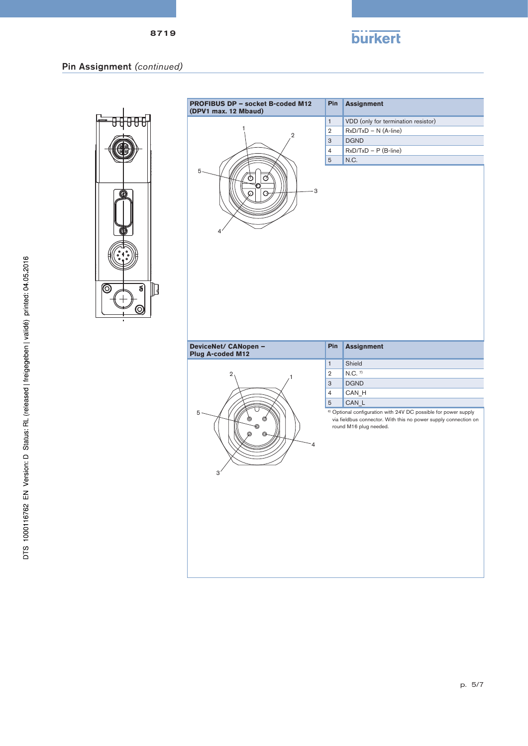

## Pin Assignment *(continued)*



|                                          | Pin            | <b>Assignment</b>                   |
|------------------------------------------|----------------|-------------------------------------|
|                                          | $\mathbf{1}$   | VDD (only for termination resistor) |
| $\overline{2}$                           | $\overline{2}$ | RxD/TxD - N (A-line)                |
|                                          |                | <b>DGND</b>                         |
|                                          | $\overline{4}$ | $RxD/TxD - P(B-line)$               |
|                                          | $\sqrt{5}$     | N.C.                                |
| 5<br>Ø<br>3<br>റ<br>Θ<br>4               |                |                                     |
| DeviceNet/ CANopen -<br>Plug A-coded M12 | Pin            | <b>Assignment</b>                   |
|                                          |                |                                     |
|                                          | $\mathbf{1}$   | Shield                              |
| 2                                        | $\overline{2}$ | $N.C.$ $^{7)}$                      |
|                                          | 3              | <b>DGND</b>                         |
|                                          | $\overline{4}$ | CAN_H                               |
|                                          | 5              | CAN_L                               |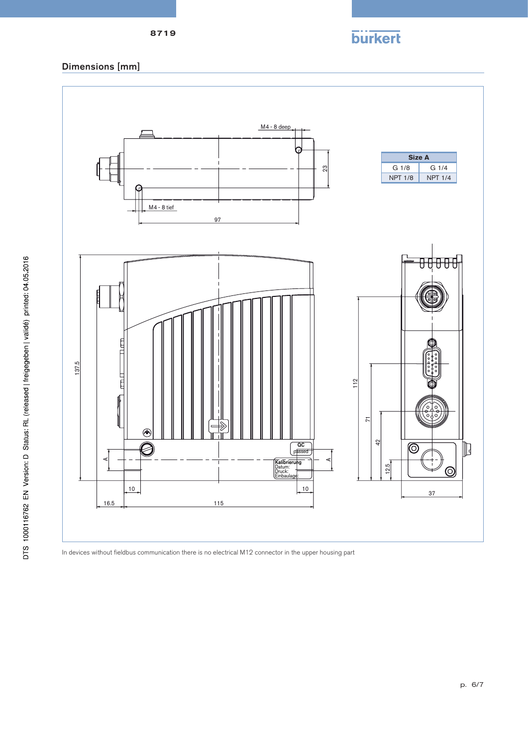### 8719

# Dimensions [mm]



In devices without fieldbus communication there is no electrical M12 connector in the upper housing part